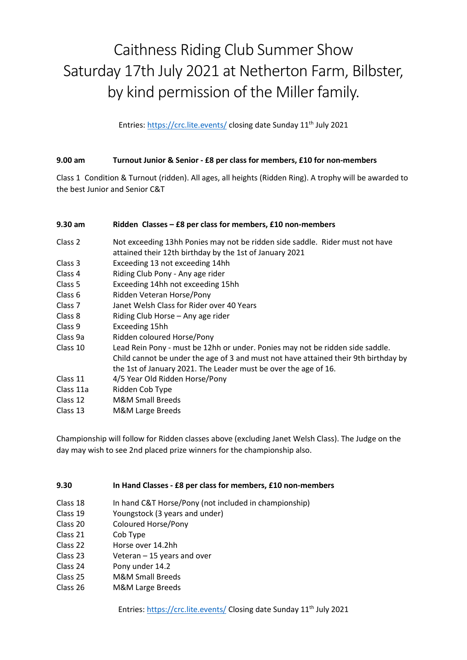# Caithness Riding Club Summer Show Saturday 17th July 2021 at Netherton Farm, Bilbster, by kind permission of the Miller family.

Entries: https://crc.lite.events/ closing date Sunday 11<sup>th</sup> July 2021

## 9.00 am Turnout Junior & Senior - £8 per class for members, £10 for non-members

Class 1 Condition & Turnout (ridden). All ages, all heights (Ridden Ring). A trophy will be awarded to the best Junior and Senior C&T

| $9.30$ am          | Ridden Classes - £8 per class for members, £10 non-members                                                                                                                                                                              |
|--------------------|-----------------------------------------------------------------------------------------------------------------------------------------------------------------------------------------------------------------------------------------|
| Class 2            | Not exceeding 13hh Ponies may not be ridden side saddle. Rider must not have<br>attained their 12th birthday by the 1st of January 2021                                                                                                 |
| Class 3            | Exceeding 13 not exceeding 14hh                                                                                                                                                                                                         |
| Class 4            | Riding Club Pony - Any age rider                                                                                                                                                                                                        |
| Class 5            | Exceeding 14hh not exceeding 15hh                                                                                                                                                                                                       |
| Class 6            | Ridden Veteran Horse/Pony                                                                                                                                                                                                               |
| Class <sub>7</sub> | Janet Welsh Class for Rider over 40 Years                                                                                                                                                                                               |
| Class 8            | Riding Club Horse - Any age rider                                                                                                                                                                                                       |
| Class 9            | Exceeding 15hh                                                                                                                                                                                                                          |
| Class 9a           | Ridden coloured Horse/Pony                                                                                                                                                                                                              |
| Class 10           | Lead Rein Pony - must be 12hh or under. Ponies may not be ridden side saddle.<br>Child cannot be under the age of 3 and must not have attained their 9th birthday by<br>the 1st of January 2021. The Leader must be over the age of 16. |
| Class 11           | 4/5 Year Old Ridden Horse/Pony                                                                                                                                                                                                          |
| Class 11a          | Ridden Cob Type                                                                                                                                                                                                                         |
| Class 12           | <b>M&amp;M Small Breeds</b>                                                                                                                                                                                                             |
| Class 13           | M&M Large Breeds                                                                                                                                                                                                                        |

Championship will follow for Ridden classes above (excluding Janet Welsh Class). The Judge on the day may wish to see 2nd placed prize winners for the championship also.

#### 9.30 In Hand Classes - £8 per class for members, £10 non-members

- Class 18 In hand C&T Horse/Pony (not included in championship)
- Class 19 Youngstock (3 years and under)
- Class 20 Coloured Horse/Pony
- Class 21 Cob Type
- Class 22 Horse over 14.2hh
- Class 23 Veteran 15 years and over
- Class 24 Pony under 14.2
- Class 25 M&M Small Breeds
- Class 26 M&M Large Breeds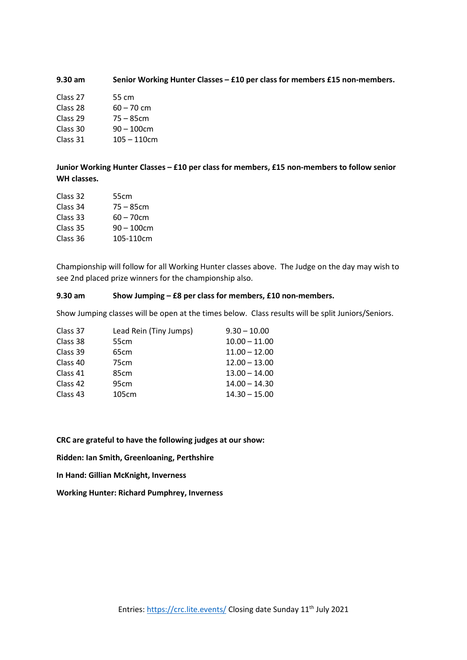#### 9.30 am Senior Working Hunter Classes – £10 per class for members £15 non-members.

| Class 27 | 55 cm          |
|----------|----------------|
| Class 28 | 60 – 70 cm     |
| Class 29 | $75 - 85$ cm   |
| Class 30 | $90 - 100$ cm  |
| Class 31 | $105 - 110$ cm |

Junior Working Hunter Classes – £10 per class for members, £15 non-members to follow senior WH classes.

| Class 32 | 55 <sub>cm</sub> |
|----------|------------------|
| Class 34 | $75 - 85$ cm     |
| Class 33 | $60 - 70cm$      |
| Class 35 | $90 - 100$ cm    |
| Class 36 | 105-110cm        |
|          |                  |

Championship will follow for all Working Hunter classes above. The Judge on the day may wish to see 2nd placed prize winners for the championship also.

#### 9.30 am Show Jumping – £8 per class for members, £10 non-members.

Show Jumping classes will be open at the times below. Class results will be split Juniors/Seniors.

| Class 37 | Lead Rein (Tiny Jumps) | $9.30 - 10.00$  |
|----------|------------------------|-----------------|
| Class 38 | 55cm                   | $10.00 - 11.00$ |
| Class 39 | 65cm                   | $11.00 - 12.00$ |
| Class 40 | 75cm                   | $12.00 - 13.00$ |
| Class 41 | 85cm                   | $13.00 - 14.00$ |
| Class 42 | 95cm                   | $14.00 - 14.30$ |
| Class 43 | 105cm                  | $14.30 - 15.00$ |

CRC are grateful to have the following judges at our show:

Ridden: Ian Smith, Greenloaning, Perthshire

In Hand: Gillian McKnight, Inverness

Working Hunter: Richard Pumphrey, Inverness